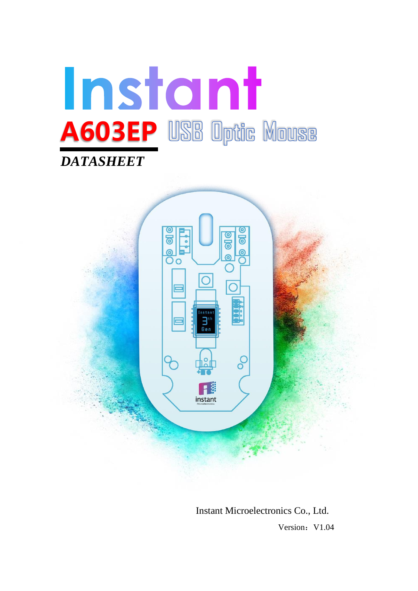



Instant Microelectronics Co., Ltd. **Version: V1.04**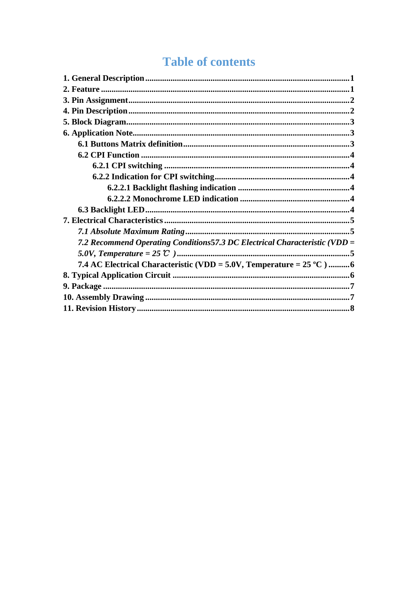# **Table of contents**

| 7.2 Recommend Operating Conditions 57.3 DC Electrical Characteristic (VDD =   |  |
|-------------------------------------------------------------------------------|--|
|                                                                               |  |
| 7.4 AC Electrical Characteristic (VDD = 5.0V, Temperature = $25^{\circ}$ C) 6 |  |
|                                                                               |  |
|                                                                               |  |
|                                                                               |  |
|                                                                               |  |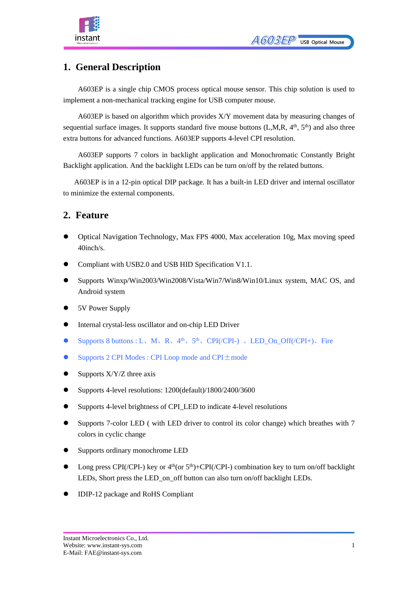



### <span id="page-2-0"></span>**1. General Description**

A603EP is a single chip CMOS process optical mouse sensor. This chip solution is used to implement a non-mechanical tracking engine for USB computer mouse.

A603EP is based on algorithm which provides X/Y movement data by measuring changes of sequential surface images. It supports standard five mouse buttons  $(L, M, R, 4<sup>th</sup>, 5<sup>th</sup>)$  and also three extra buttons for advanced functions. A603EP supports 4-level CPI resolution.

A603EP supports 7 colors in backlight application and Monochromatic Constantly Bright Backlight application. And the backlight LEDs can be turn on/off by the related buttons.

A603EP is in a 12-pin optical DIP package. It has a built-in LED driver and internal oscillator to minimize the external components.

### <span id="page-2-1"></span>**2. Feature**

- ⚫ Optical Navigation Technology, Max FPS 4000, Max acceleration 10g, Max moving speed 40inch/s.
- ⚫ Compliant with USB2.0 and USB HID Specification V1.1.
- ⚫ Supports Winxp/Win2003/Win2008/Vista/Win7/Win8/Win10/Linux system, MAC OS, and Android system
- ⚫ 5V Power Supply
- ⚫ Internal crystal-less oscillator and on-chip LED Driver
- Supports 8 buttons : L、M、R、4<sup>th</sup>、5<sup>th</sup>、CPI(/CPI-) 、LED\_On\_Off(/CPI+)、Fire
- Supports 2 CPI Modes : CPI Loop mode and CPI $\pm$ mode
- $\bullet$  Supports X/Y/Z three axis
- ⚫ Supports 4-level resolutions: 1200(default)/1800/2400/3600
- ⚫ Supports 4-level brightness of CPI\_LED to indicate 4-level resolutions
- ⚫ Supports 7-color LED ( with LED driver to control its color change) which breathes with 7 colors in cyclic change
- ⚫ Supports ordinary monochrome LED
- $\bullet$  Long press CPI(/CPI-) key or  $4<sup>th</sup>$ (or  $5<sup>th</sup>$ )+CPI(/CPI-) combination key to turn on/off backlight LEDs, Short press the LED\_on\_off button can also turn on/off backlight LEDs.
- ⚫ IDIP-12 package and RoHS Compliant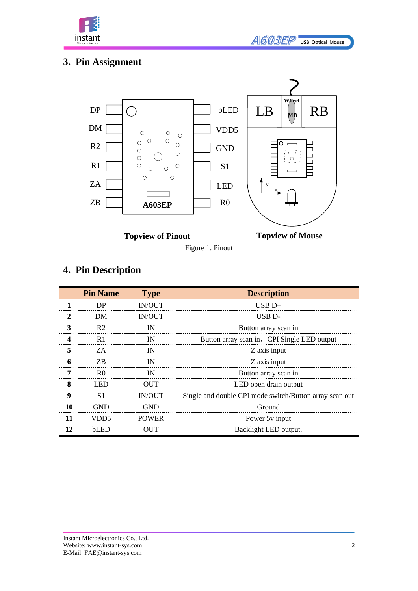

## <span id="page-3-0"></span>**3. Pin Assignment**



Figure 1. Pinout



## <span id="page-3-1"></span>**4. Pin Description**

|                  | <b>Pin Name</b> | <b>Type</b>   | <b>Description</b>                                      |
|------------------|-----------------|---------------|---------------------------------------------------------|
|                  | DP              | <b>IN/OUT</b> | $USB D+$                                                |
| $\mathbf{2}$     | DM              | <b>IN/OUT</b> | USB <sub>D</sub> -                                      |
| 3                | R <sub>2</sub>  | IN            | Button array scan in                                    |
| 4                | R <sub>1</sub>  | IN            | Button array scan in, CPI Single LED output             |
| 5                | ZA              | IN            | Z axis input                                            |
| 6                | ZB.             | IN            | Z axis input                                            |
| 7                | R <sub>0</sub>  | IN            | Button array scan in                                    |
| 8                | <b>LED</b>      | <b>OUT</b>    | LED open drain output                                   |
| $\boldsymbol{9}$ | S1              | <b>IN/OUT</b> | Single and double CPI mode switch/Button array scan out |
| 10               | <b>GND</b>      | <b>GND</b>    | Ground                                                  |
| 11               | VDD5            | <b>POWER</b>  | Power 5y input                                          |
| 12               | bLED            | <b>OUT</b>    | Backlight LED output.                                   |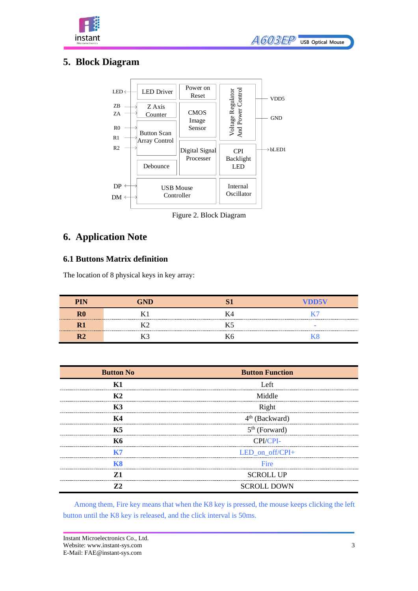



## <span id="page-4-0"></span>**5. Block Diagram**



Figure 2. Block Diagram

### <span id="page-4-1"></span>**6. Application Note**

#### <span id="page-4-2"></span>**6.1 Buttons Matrix definition**

The location of 8 physical keys in key array:

| <b>PIN</b> | GND |    | VDD5V |
|------------|-----|----|-------|
| ${\bf R0}$ |     | К4 |       |
|            |     |    |       |
|            |     | Kb |       |

| <b>Button No</b> | <b>Button Function</b>     |  |  |  |  |
|------------------|----------------------------|--|--|--|--|
| K1               | Left                       |  |  |  |  |
| K <sub>2</sub>   | Middle                     |  |  |  |  |
| <b>K3</b>        | Right                      |  |  |  |  |
| K4               | 4 <sup>th</sup> (Backward) |  |  |  |  |
| K5               | $5th$ (Forward)            |  |  |  |  |
| K6               | CPI/CPI-                   |  |  |  |  |
|                  | LED_on_off/CPI+            |  |  |  |  |
| <b>K8</b>        | Fire                       |  |  |  |  |
| 71               | <b>SCROLL UP</b>           |  |  |  |  |
| 72               | <b>SCROLL DOWN</b>         |  |  |  |  |

Among them, Fire key means that when the K8 key is pressed, the mouse keeps clicking the left button until the K8 key is released, and the click interval is 50ms.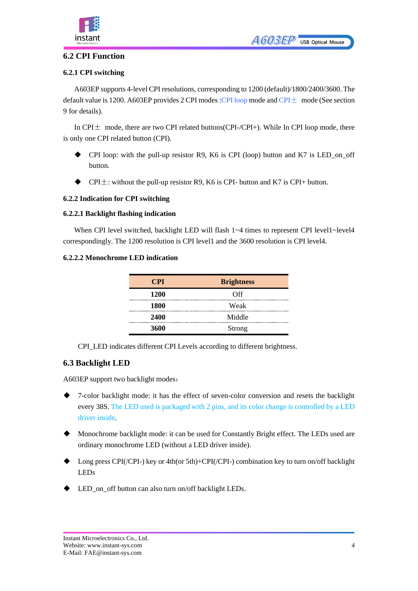

#### <span id="page-5-0"></span>**6.2 CPI Function**

#### <span id="page-5-1"></span>**6.2.1 CPI switching**

A603EP supports 4-level CPI resolutions, corresponding to 1200 (default)/1800/2400/3600. The default value is 1200. A603EP provides 2 CPI modes :CPI loop mode and CPI $\pm$  mode (See section 9 for details).

In CPI $\pm$  mode, there are two CPI related buttons(CPI-/CPI+). While In CPI loop mode, there is only one CPI related button (CPI).

- $\blacklozenge$  CPI loop: with the pull-up resistor R9, K6 is CPI (loop) button and K7 is LED\_on\_off button.
- $\blacklozenge$  CPI $\pm$ : without the pull-up resistor R9, K6 is CPI- button and K7 is CPI+ button.

#### <span id="page-5-2"></span>**6.2.2 Indication for CPI switching**

#### <span id="page-5-3"></span>**6.2.2.1 Backlight flashing indication**

When CPI level switched, backlight LED will flash  $1~-4$  times to represent CPI level1~level4 [correspondingly.](javascript:;) The 1200 resolution is CPI level1 and the 3600 resolution is CPI level4.

#### <span id="page-5-4"></span>**6.2.2.2 Monochrome LED indication**

| <b>CPI</b> | <b>Brightness</b> |
|------------|-------------------|
| 1200       | Off               |
| 1800       | Weak              |
| 2400       | Middle            |
| 3600       | Strong            |

CPI\_LED indicates different CPI Levels according to different brightness.

#### <span id="page-5-5"></span>**6.3 Backlight LED**

A603EP support two backlight modes:

- ◆ 7-color backlight mode: it has the effect of seven-color conversion and resets the backlight every 38S. The LED used is packaged with 2 pins, and its color change is controlled by a LED driver inside.
- ◆ Monochrome backlight mode: it can be used for Constantly Bright effect. The LEDs used are ordinary monochrome LED (without a LED driver inside).
- ◆ Long press CPI(/CPI-) key or 4th(or 5th)+CPI(/CPI-) combination key to turn on/off backlight LEDs
- LED on off button can also turn on/off backlight LEDs.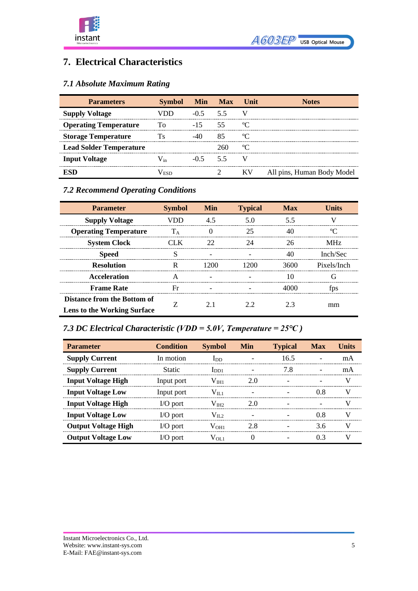



### <span id="page-6-0"></span>**7. Electrical Characteristics**

### <span id="page-6-1"></span>*7.1 Absolute Maximum Rating*

| <b>Parameters</b>              | Symbol Min Max |             |     | Unit | <b>Notes</b>               |
|--------------------------------|----------------|-------------|-----|------|----------------------------|
| <b>Supply Voltage</b>          |                | $-0.5$ 5.5  |     |      |                            |
| <b>Operating Temperature</b>   | Ί'n            | $-15$ $-15$ | 55  |      |                            |
| <b>Storage Temperature</b>     |                |             |     |      |                            |
| <b>Lead Solder Temperature</b> |                |             | 260 |      |                            |
| <b>Input Voltage</b>           |                | $-0.5$ 5.5  |     |      |                            |
|                                |                |             |     | K V  | All pins, Human Body Model |

### <span id="page-6-2"></span>*7.2 Recommend Operating Conditions*

| <b>Parameter</b>                   | <b>Symbol</b> | <b>Min</b> | <b>Typical</b> | <b>Max</b> | <b>Units</b>    |
|------------------------------------|---------------|------------|----------------|------------|-----------------|
| <b>Supply Voltage</b>              |               | 4.5        | 5 O            | 55         |                 |
| <b>Operating Temperature</b>       | TΔ            |            | 25             | 40         |                 |
| <b>System Clock</b>                | 'I K          | 22         | 24             | 26         | MH <sub>7</sub> |
| <b>Speed</b>                       |               |            |                | 40         | Inch/Sec        |
| <b>Resolution</b>                  | R             | 1200       | 1200           | 3600       | Pixels/Inch     |
| Acceleration                       |               |            |                | 10         | G               |
| <b>Frame Rate</b>                  | Fr            |            |                |            | tps             |
| Distance from the Bottom of        |               | 21         | 22             | 23         |                 |
| <b>Lens to the Working Surface</b> |               |            |                |            | mm              |

<span id="page-6-3"></span>*7.3 DC Electrical Characteristic (VDD = 5.0V, Temperature = 25℃ )*

| <b>Parameter</b>           | <b>Condition</b> | <b>Symbol</b>     | Min | <b>Typical</b> | <b>Max</b> | Units |
|----------------------------|------------------|-------------------|-----|----------------|------------|-------|
| <b>Supply Current</b>      | In motion        | $\ln$             |     | 16.5           |            | mA    |
| <b>Supply Current</b>      | <b>Static</b>    | $_{\rm{IDD1}}$    |     | 7.8            |            | mA    |
| <b>Input Voltage High</b>  | Input port       | $\rm V_{\rm IH1}$ | 20  |                |            |       |
| <b>Input Voltage Low</b>   | Input port       | $V_{\rm H,1}$     |     |                |            |       |
| <b>Input Voltage High</b>  | $IO$ port        | $V_{HH2}$         | 20  |                |            |       |
| <b>Input Voltage Low</b>   | $IO$ port        | $V_{II}$ 2        |     |                | 0 8        |       |
| <b>Output Voltage High</b> | $IO$ port        | V <sub>OH1</sub>  | 2.8 |                | 3.6        |       |
| <b>Output Voltage Low</b>  | $IO$ port        | $V_{OL1}$         |     |                | በ 3        |       |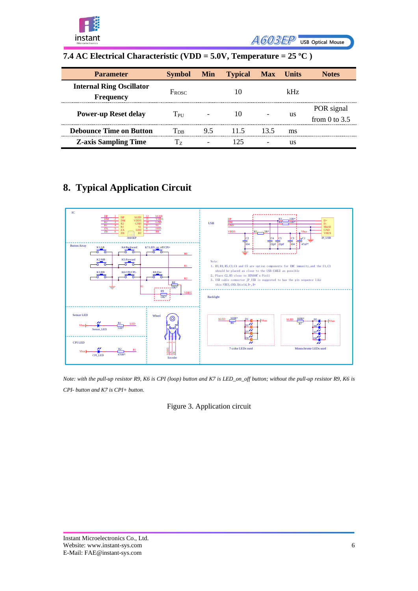

A603EP USB Optical Mouse

### <span id="page-7-0"></span>**7.4 AC Electrical Characteristic (VDD = 5.0V, Temperature = 25 ºC )**

| <b>Parameter</b>                                    | <b>Symbol</b>              | <b>Min</b>               | <b>Typical</b> | <b>Max</b>               | <b>Units</b> | <b>Notes</b>                  |
|-----------------------------------------------------|----------------------------|--------------------------|----------------|--------------------------|--------------|-------------------------------|
| <b>Internal Ring Oscillator</b><br><b>Frequency</b> | $F_{\rm{ROSC}}$            |                          |                |                          | kHz.         |                               |
| <b>Power-up Reset delay</b>                         | $T_{\rm PII}$              |                          | 10             |                          | us           | POR signal<br>from 0 to $3.5$ |
| <b>Debounce Time on Button</b>                      | $\mathrm{T_{\mathrm{DB}}}$ | 9.5                      | 11.5           | 13.5                     | ms           |                               |
| <b>Z-axis Sampling Time</b>                         | Tэ                         | $\overline{\phantom{0}}$ | 125            | $\overline{\phantom{0}}$ | us           |                               |

## <span id="page-7-1"></span>**8. Typical Application Circuit**



*Note: with the pull-up resistor R9, K6 is CPI (loop) button and K7 is LED\_on\_off button; without the pull-up resistor R9, K6 is CPI- button and K7 is CPI+ button.*

Figure 3. Application circuit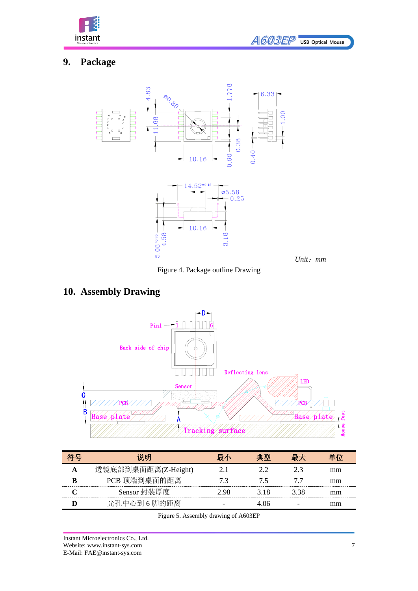

*Unit*:*mm*

## <span id="page-8-0"></span>**9. Package**



Figure 4. Package outline Drawing

## <span id="page-8-1"></span>**10. Assembly Drawing**



| 说明                  | 最小   | 典型  |      |    |
|---------------------|------|-----|------|----|
| 透镜底部到桌面距离(Z-Height) |      |     |      | mm |
| PCB 顶端到桌面的距离        |      |     |      | mm |
| Sensor 封装厚度         | 2 98 | 318 | 3 38 | mm |
| 光孔中心到6脚的距离          |      |     |      | mm |

Figure 5. Assembly drawing of A603EP